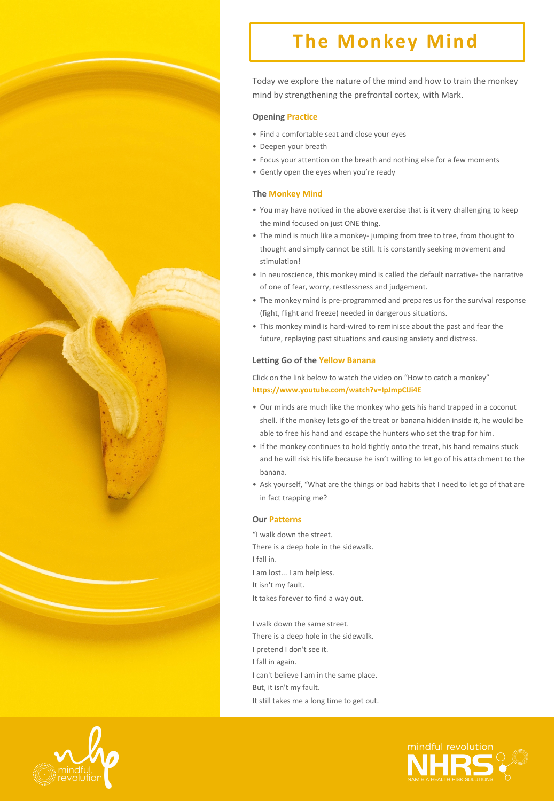

# **The Monkey Mind**

Today we explore the nature of the mind and how to train the monkey mind by strengthening the prefrontal cortex, with Mark.

## **Opening Practice**

- Find a comfortable seat and close your eyes
- Deepen your breath
- Focus your attention on the breath and nothing else for a few moments
- Gently open the eyes when you're ready

## **The Monkey Mind**

- You may have noticed in the above exercise that is it very challenging to keep the mind focused on just ONE thing.
- The mind is much like a monkey- jumping from tree to tree, from thought to thought and simply cannot be still. It is constantly seeking movement and stimulation!
- In neuroscience, this monkey mind is called the default narrative- the narrative of one of fear, worry, restlessness and judgement.
- The monkey mind is pre-programmed and prepares us for the survival response (fight, flight and freeze) needed in dangerous situations.
- This monkey mind is hard-wired to reminisce about the past and fear the future, replaying past situations and causing anxiety and distress.

## Letting Go of the Yellow Banana

Click on the link below to watch the video on "How to catch a monkey" **https://www.youtube.com/watch?v=IpJmpClJi4E** 

- Our minds are much like the monkey who gets his hand trapped in a coconut shell. If the monkey lets go of the treat or banana hidden inside it, he would be able to free his hand and escape the hunters who set the trap for him.
- If the monkey continues to hold tightly onto the treat, his hand remains stuck and he will risk his life because he isn't willing to let go of his attachment to the banana.
- Ask yourself, "What are the things or bad habits that I need to let go of that are in fact trapping me?

#### **Our Patterns**

"I walk down the street. There is a deep hole in the sidewalk. I fall in. I am lost... I am helpless. It isn't my fault. It takes forever to find a way out.

I walk down the same street. There is a deep hole in the sidewalk. I pretend I don't see it. I fall in again. I can't believe I am in the same place. But, it isn't my fault. It still takes me a long time to get out.